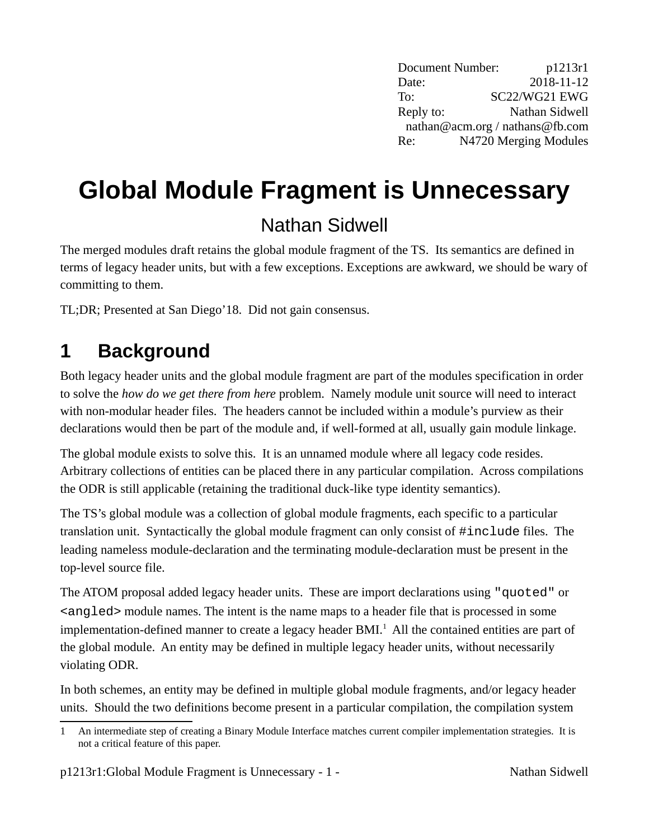Document Number: p1213r1 Date: 2018-11-12 To: SC22/WG21 EWG Reply to: Nathan Sidwell nathan@acm.org / nathans@fb.com Re: N4720 Merging Modules

# **Global Module Fragment is Unnecessary**

### Nathan Sidwell

The merged modules draft retains the global module fragment of the TS. Its semantics are defined in terms of legacy header units, but with a few exceptions. Exceptions are awkward, we should be wary of committing to them.

TL;DR; Presented at San Diego'18. Did not gain consensus.

### **1 Background**

Both legacy header units and the global module fragment are part of the modules specification in order to solve the *how do we get there from here* problem. Namely module unit source will need to interact with non-modular header files. The headers cannot be included within a module's purview as their declarations would then be part of the module and, if well-formed at all, usually gain module linkage.

The global module exists to solve this. It is an unnamed module where all legacy code resides. Arbitrary collections of entities can be placed there in any particular compilation. Across compilations the ODR is still applicable (retaining the traditional duck-like type identity semantics).

The TS's global module was a collection of global module fragments, each specific to a particular translation unit. Syntactically the global module fragment can only consist of #include files. The leading nameless module-declaration and the terminating module-declaration must be present in the top-level source file.

The ATOM proposal added legacy header units. These are import declarations using "quoted" or <angled> module names. The intent is the name maps to a header file that is processed in some implementation-defined manner to create a legacy header  $BML<sup>1</sup>$  $BML<sup>1</sup>$  $BML<sup>1</sup>$  All the contained entities are part of the global module. An entity may be defined in multiple legacy header units, without necessarily violating ODR.

In both schemes, an entity may be defined in multiple global module fragments, and/or legacy header units. Should the two definitions become present in a particular compilation, the compilation system

<span id="page-0-0"></span><sup>1</sup> An intermediate step of creating a Binary Module Interface matches current compiler implementation strategies. It is not a critical feature of this paper.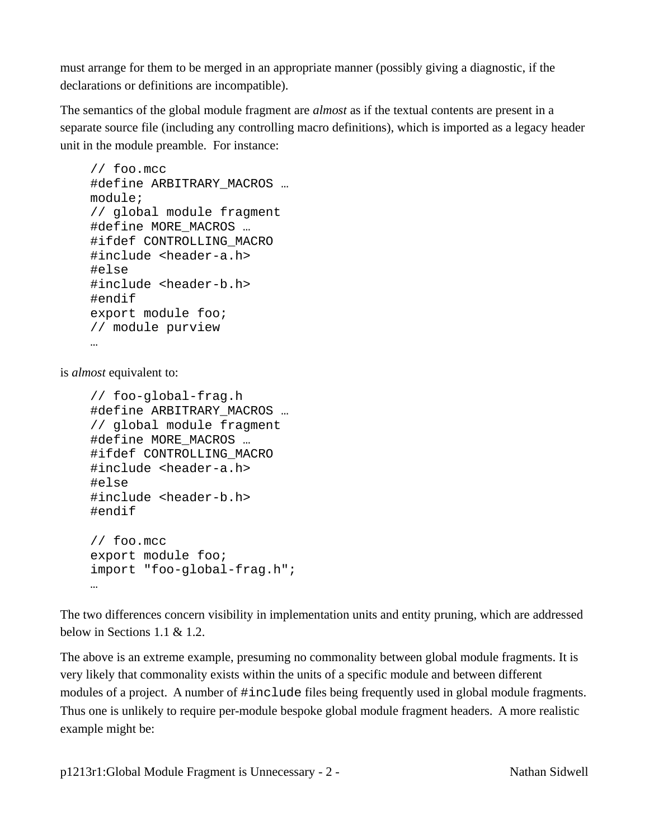must arrange for them to be merged in an appropriate manner (possibly giving a diagnostic, if the declarations or definitions are incompatible).

The semantics of the global module fragment are *almost* as if the textual contents are present in a separate source file (including any controlling macro definitions), which is imported as a legacy header unit in the module preamble. For instance:

```
// foo.mcc
#define ARBITRARY_MACROS …
module;
// global module fragment
#define MORE_MACROS …
#ifdef CONTROLLING_MACRO
#include <header-a.h>
#else
#include <header-b.h>
#endif
export module foo;
// module purview
…
```
is *almost* equivalent to:

```
// foo-global-frag.h
#define ARBITRARY_MACROS …
// global module fragment
#define MORE_MACROS …
#ifdef CONTROLLING_MACRO
#include <header-a.h>
#else
#include <header-b.h>
#endif
// foo.mcc
export module foo;
import "foo-global-frag.h";
…
```
The two differences concern visibility in implementation units and entity pruning, which are addressed below in Sections [1.1](#page-3-0) & [1.2](#page-3-1).

The above is an extreme example, presuming no commonality between global module fragments. It is very likely that commonality exists within the units of a specific module and between different modules of a project. A number of #include files being frequently used in global module fragments. Thus one is unlikely to require per-module bespoke global module fragment headers. A more realistic example might be:

p1213r1:Global Module Fragment is Unnecessary - 2 - Nathan Sidwell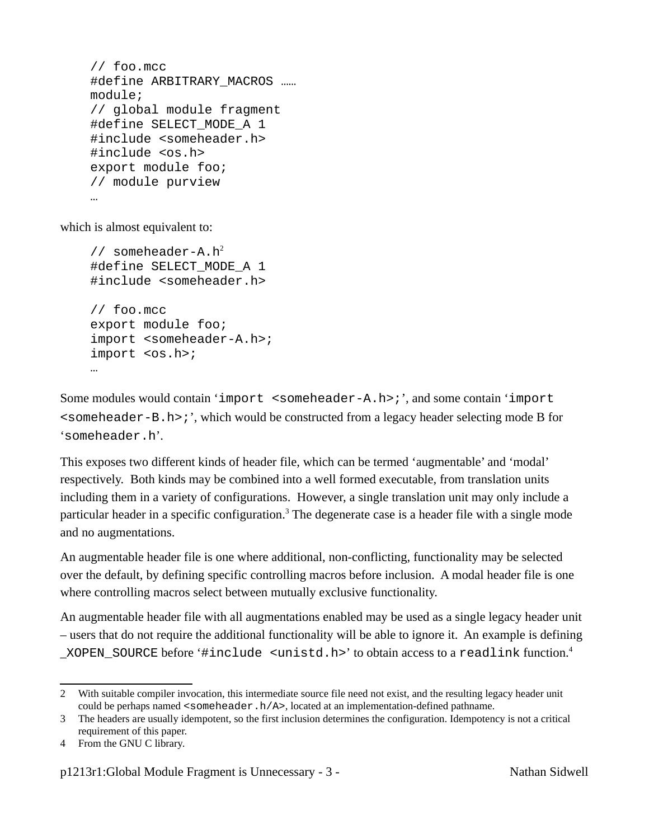```
// foo.mcc
#define ARBITRARY_MACROS ……
module;
// global module fragment
#define SELECT MODE A 1
#include <someheader.h>
#include <os.h>
export module foo;
// module purview
…
```
which is almost equivalent to:

```
2</sup>
#define SELECT MODE A 1
#include <someheader.h>
// foo.mcc
export module foo;
import <someheader-A.h>;
import <os.h>;
…
```
Some modules would contain 'import <someheader-A.h>;', and some contain 'import <someheader-B.h>;', which would be constructed from a legacy header selecting mode B for 'someheader.h'.

This exposes two different kinds of header file, which can be termed 'augmentable' and 'modal' respectively. Both kinds may be combined into a well formed executable, from translation units including them in a variety of configurations. However, a single translation unit may only include a particular header in a specific configuration.<sup>[3](#page-2-1)</sup> The degenerate case is a header file with a single mode and no augmentations.

An augmentable header file is one where additional, non-conflicting, functionality may be selected over the default, by defining specific controlling macros before inclusion. A modal header file is one where controlling macros select between mutually exclusive functionality.

An augmentable header file with all augmentations enabled may be used as a single legacy header unit – users that do not require the additional functionality will be able to ignore it. An example is defining \_XOPEN\_SOURCE before '#include <unistd.h>' to obtain access to a readlink function.[4](#page-2-2)

<span id="page-2-0"></span><sup>2</sup> With suitable compiler invocation, this intermediate source file need not exist, and the resulting legacy header unit could be perhaps named <someheader.h/A>, located at an implementation-defined pathname.

<span id="page-2-1"></span><sup>3</sup> The headers are usually idempotent, so the first inclusion determines the configuration. Idempotency is not a critical requirement of this paper.

<span id="page-2-2"></span><sup>4</sup> From the GNU C library.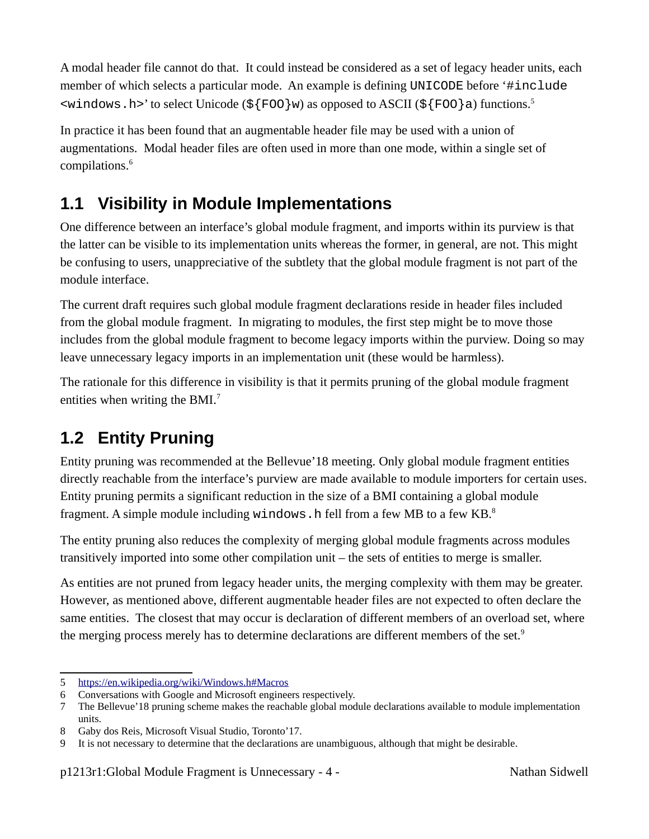A modal header file cannot do that. It could instead be considered as a set of legacy header units, each member of which selects a particular mode. An example is defining UNICODE before '#include  $\le$ windows.h>' to select Unicode (\${FOO}w) as opposed to ASCII (\${FOO}a) functions.<sup>[5](#page-3-2)</sup>

In practice it has been found that an augmentable header file may be used with a union of augmentations. Modal header files are often used in more than one mode, within a single set of compilations.[6](#page-3-3)

### <span id="page-3-0"></span>**1.1 Visibility in Module Implementations**

One difference between an interface's global module fragment, and imports within its purview is that the latter can be visible to its implementation units whereas the former, in general, are not. This might be confusing to users, unappreciative of the subtlety that the global module fragment is not part of the module interface.

The current draft requires such global module fragment declarations reside in header files included from the global module fragment. In migrating to modules, the first step might be to move those includes from the global module fragment to become legacy imports within the purview. Doing so may leave unnecessary legacy imports in an implementation unit (these would be harmless).

The rationale for this difference in visibility is that it permits pruning of the global module fragment entities when writing the BMI.<sup>[7](#page-3-4)</sup>

### <span id="page-3-1"></span>**1.2 Entity Pruning**

Entity pruning was recommended at the Bellevue'18 meeting. Only global module fragment entities directly reachable from the interface's purview are made available to module importers for certain uses. Entity pruning permits a significant reduction in the size of a BMI containing a global module fragment. A simple module including windows. h fell from a few MB to a few KB. $8$ 

The entity pruning also reduces the complexity of merging global module fragments across modules transitively imported into some other compilation unit – the sets of entities to merge is smaller.

As entities are not pruned from legacy header units, the merging complexity with them may be greater. However, as mentioned above, different augmentable header files are not expected to often declare the same entities. The closest that may occur is declaration of different members of an overload set, where the merging process merely has to determine declarations are different members of the set.<sup>[9](#page-3-6)</sup>

<span id="page-3-2"></span><sup>5</sup> https://en.wikipedia.org/wiki/Windows.h#Macros

<span id="page-3-3"></span><sup>6</sup> Conversations with Google and Microsoft engineers respectively.

<span id="page-3-4"></span><sup>7</sup> The Bellevue'18 pruning scheme makes the reachable global module declarations available to module implementation units.

<span id="page-3-5"></span><sup>8</sup> Gaby dos Reis, Microsoft Visual Studio, Toronto'17.

<span id="page-3-6"></span><sup>9</sup> It is not necessary to determine that the declarations are unambiguous, although that might be desirable.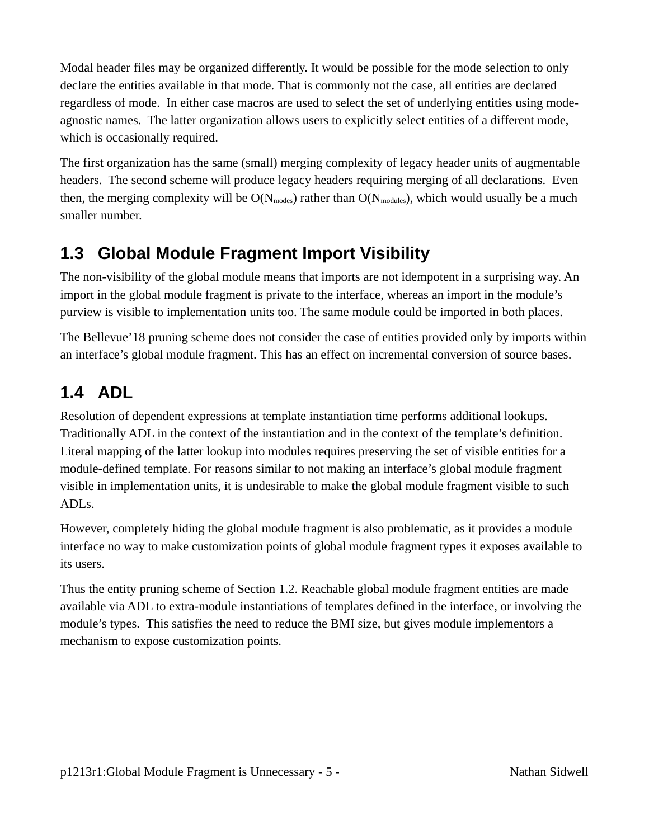Modal header files may be organized differently. It would be possible for the mode selection to only declare the entities available in that mode. That is commonly not the case, all entities are declared regardless of mode. In either case macros are used to select the set of underlying entities using modeagnostic names. The latter organization allows users to explicitly select entities of a different mode, which is occasionally required.

The first organization has the same (small) merging complexity of legacy header units of augmentable headers. The second scheme will produce legacy headers requiring merging of all declarations. Even then, the merging complexity will be  $O(N_{\text{modes}})$  rather than  $O(N_{\text{modules}})$ , which would usually be a much smaller number.

#### **1.3 Global Module Fragment Import Visibility**

The non-visibility of the global module means that imports are not idempotent in a surprising way. An import in the global module fragment is private to the interface, whereas an import in the module's purview is visible to implementation units too. The same module could be imported in both places.

The Bellevue'18 pruning scheme does not consider the case of entities provided only by imports within an interface's global module fragment. This has an effect on incremental conversion of source bases.

#### **1.4 ADL**

Resolution of dependent expressions at template instantiation time performs additional lookups. Traditionally ADL in the context of the instantiation and in the context of the template's definition. Literal mapping of the latter lookup into modules requires preserving the set of visible entities for a module-defined template. For reasons similar to not making an interface's global module fragment visible in implementation units, it is undesirable to make the global module fragment visible to such ADLs.

However, completely hiding the global module fragment is also problematic, as it provides a module interface no way to make customization points of global module fragment types it exposes available to its users.

Thus the entity pruning scheme of Section [1.2](#page-3-1). Reachable global module fragment entities are made available via ADL to extra-module instantiations of templates defined in the interface, or involving the module's types. This satisfies the need to reduce the BMI size, but gives module implementors a mechanism to expose customization points.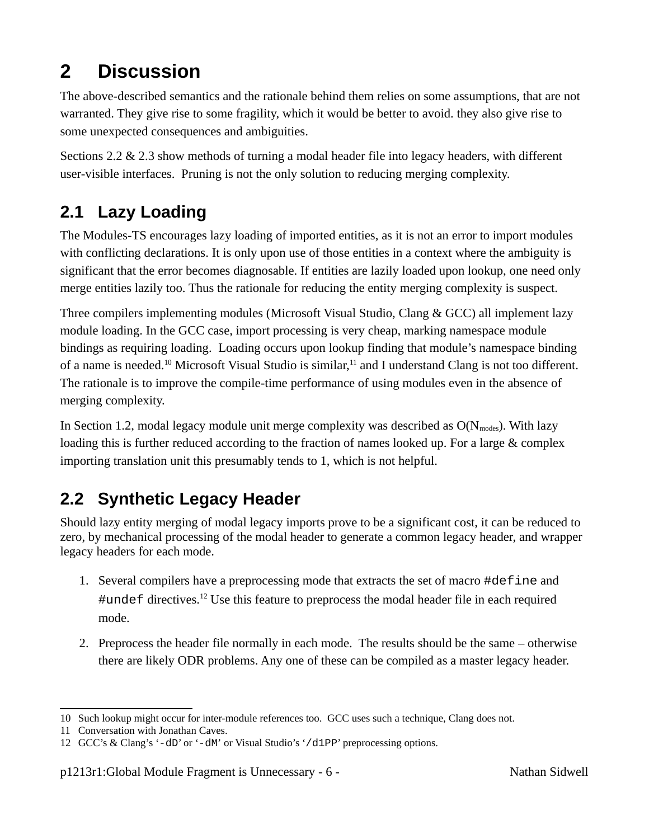## **2 Discussion**

The above-described semantics and the rationale behind them relies on some assumptions, that are not warranted. They give rise to some fragility, which it would be better to avoid. they also give rise to some unexpected consequences and ambiguities.

Sections [2.2](#page-5-0) & [2.3](#page-6-0) show methods of turning a modal header file into legacy headers, with different user-visible interfaces. Pruning is not the only solution to reducing merging complexity.

#### **2.1 Lazy Loading**

The Modules-TS encourages lazy loading of imported entities, as it is not an error to import modules with conflicting declarations. It is only upon use of those entities in a context where the ambiguity is significant that the error becomes diagnosable. If entities are lazily loaded upon lookup, one need only merge entities lazily too. Thus the rationale for reducing the entity merging complexity is suspect.

Three compilers implementing modules (Microsoft Visual Studio, Clang & GCC) all implement lazy module loading. In the GCC case, import processing is very cheap, marking namespace module bindings as requiring loading. Loading occurs upon lookup finding that module's namespace binding of a name is needed.<sup>[10](#page-5-1)</sup> Microsoft Visual Studio is similar,<sup>[11](#page-5-2)</sup> and I understand Clang is not too different. The rationale is to improve the compile-time performance of using modules even in the absence of merging complexity.

In Section [1.2,](#page-3-1) modal legacy module unit merge complexity was described as  $O(N_{\text{modes}})$ . With lazy loading this is further reduced according to the fraction of names looked up. For a large & complex importing translation unit this presumably tends to 1, which is not helpful.

#### <span id="page-5-0"></span>**2.2 Synthetic Legacy Header**

Should lazy entity merging of modal legacy imports prove to be a significant cost, it can be reduced to zero, by mechanical processing of the modal header to generate a common legacy header, and wrapper legacy headers for each mode.

- 1. Several compilers have a preprocessing mode that extracts the set of macro #define and #undef directives.<sup>[12](#page-5-3)</sup> Use this feature to preprocess the modal header file in each required mode.
- <span id="page-5-4"></span>2. Preprocess the header file normally in each mode. The results should be the same – otherwise there are likely ODR problems. Any one of these can be compiled as a master legacy header.

<span id="page-5-1"></span><sup>10</sup> Such lookup might occur for inter-module references too. GCC uses such a technique, Clang does not.

<span id="page-5-2"></span><sup>11</sup> Conversation with Jonathan Caves.

<span id="page-5-3"></span><sup>12</sup> GCC's & Clang's '-dD' or '-dM' or Visual Studio's '/d1PP' preprocessing options.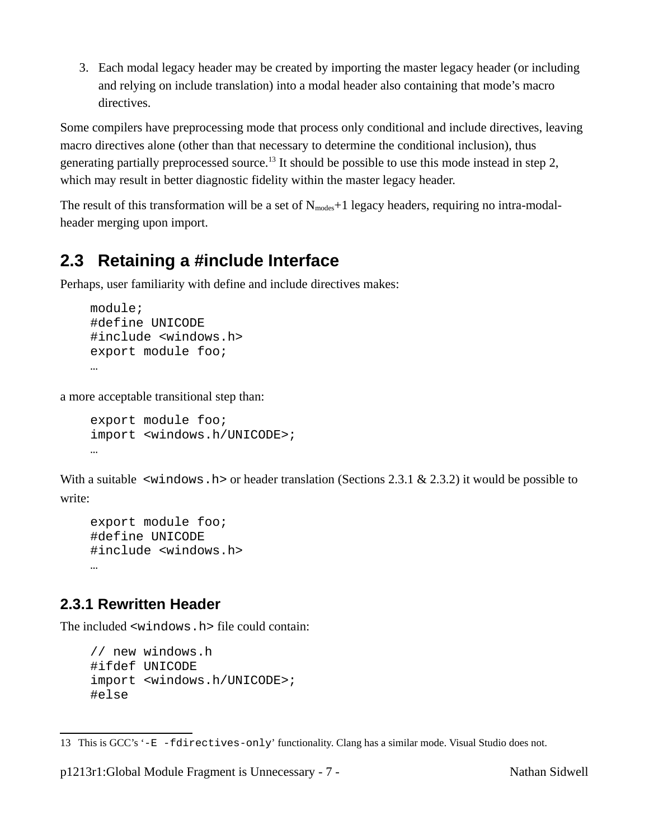3. Each modal legacy header may be created by importing the master legacy header (or including and relying on include translation) into a modal header also containing that mode's macro directives.

Some compilers have preprocessing mode that process only conditional and include directives, leaving macro directives alone (other than that necessary to determine the conditional inclusion), thus generating partially preprocessed source.<sup>[13](#page-6-2)</sup> It should be possible to use this mode instead in step [2](#page-5-4), which may result in better diagnostic fidelity within the master legacy header.

The result of this transformation will be a set of  $N_{\text{modes}}+1$  legacy headers, requiring no intra-modalheader merging upon import.

#### <span id="page-6-0"></span>**2.3 Retaining a #include Interface**

Perhaps, user familiarity with define and include directives makes:

```
module;
#define UNICODE
#include <windows.h>
export module foo;
…
```
a more acceptable transitional step than:

```
export module foo;
import <windows.h/UNICODE>;
…
```
With a suitable  $\leq$  windows. h> or header translation (Sections [2.3.1](#page-6-1) & [2.3.2\)](#page-7-0) it would be possible to write:

```
export module foo;
#define UNICODE
#include <windows.h>
…
```
#### <span id="page-6-1"></span>**2.3.1 Rewritten Header**

The included <windows.h> file could contain:

```
// new windows.h
#ifdef UNICODE
import <windows.h/UNICODE>;
#else
```
p1213r1:Global Module Fragment is Unnecessary - 7 - Nathan Sidwell

<span id="page-6-2"></span><sup>13</sup> This is GCC's '-E -fdirectives-only' functionality. Clang has a similar mode. Visual Studio does not.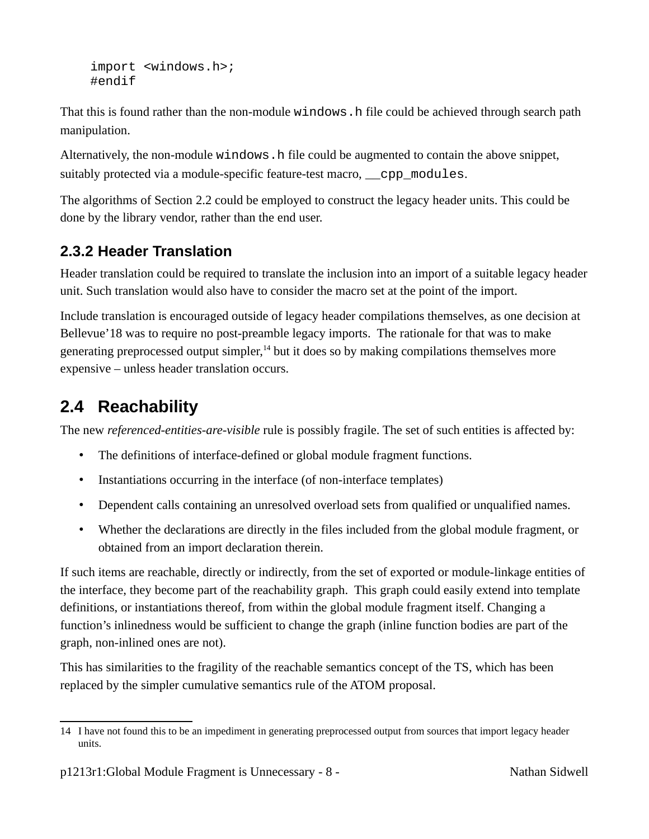```
import <windows.h>;
#endif
```
That this is found rather than the non-module windows. h file could be achieved through search path manipulation.

Alternatively, the non-module windows. h file could be augmented to contain the above snippet, suitably protected via a module-specific feature-test macro, *\_\_cpp\_modules*.

The algorithms of Section [2.2](#page-5-0) could be employed to construct the legacy header units. This could be done by the library vendor, rather than the end user.

#### <span id="page-7-0"></span>**2.3.2 Header Translation**

Header translation could be required to translate the inclusion into an import of a suitable legacy header unit. Such translation would also have to consider the macro set at the point of the import.

Include translation is encouraged outside of legacy header compilations themselves, as one decision at Bellevue'18 was to require no post-preamble legacy imports. The rationale for that was to make generating preprocessed output simpler, $<sup>14</sup>$  $<sup>14</sup>$  $<sup>14</sup>$  but it does so by making compilations themselves more</sup> expensive – unless header translation occurs.

#### **2.4 Reachability**

The new *referenced-entities-are-visible* rule is possibly fragile. The set of such entities is affected by:

- The definitions of interface-defined or global module fragment functions.
- Instantiations occurring in the interface (of non-interface templates)
- Dependent calls containing an unresolved overload sets from qualified or unqualified names.
- Whether the declarations are directly in the files included from the global module fragment, or obtained from an import declaration therein.

If such items are reachable, directly or indirectly, from the set of exported or module-linkage entities of the interface, they become part of the reachability graph. This graph could easily extend into template definitions, or instantiations thereof, from within the global module fragment itself. Changing a function's inlinedness would be sufficient to change the graph (inline function bodies are part of the graph, non-inlined ones are not).

This has similarities to the fragility of the reachable semantics concept of the TS, which has been replaced by the simpler cumulative semantics rule of the ATOM proposal.

<span id="page-7-1"></span><sup>14</sup> I have not found this to be an impediment in generating preprocessed output from sources that import legacy header units.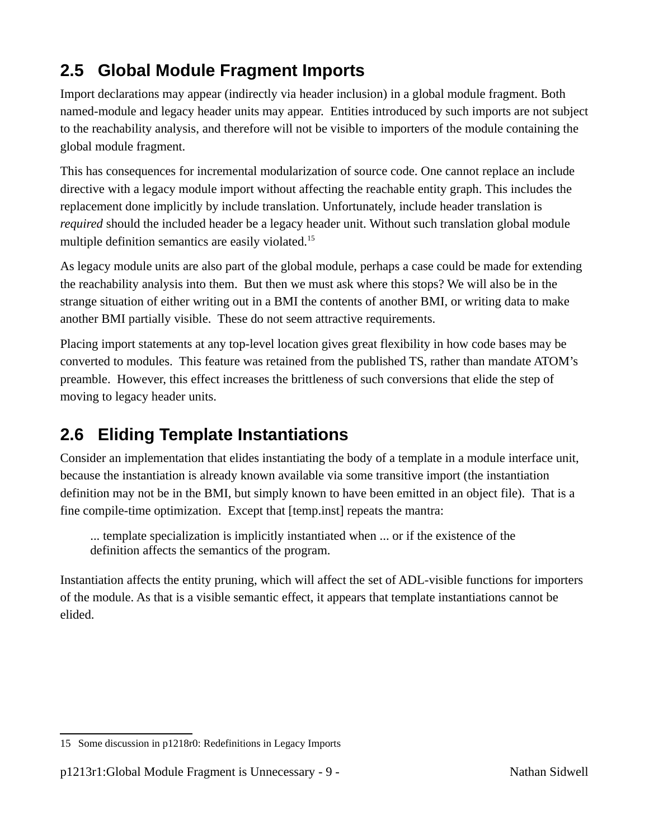### **2.5 Global Module Fragment Imports**

Import declarations may appear (indirectly via header inclusion) in a global module fragment. Both named-module and legacy header units may appear. Entities introduced by such imports are not subject to the reachability analysis, and therefore will not be visible to importers of the module containing the global module fragment.

This has consequences for incremental modularization of source code. One cannot replace an include directive with a legacy module import without affecting the reachable entity graph. This includes the replacement done implicitly by include translation. Unfortunately, include header translation is *required* should the included header be a legacy header unit. Without such translation global module multiple definition semantics are easily violated.<sup>[15](#page-8-0)</sup>

As legacy module units are also part of the global module, perhaps a case could be made for extending the reachability analysis into them. But then we must ask where this stops? We will also be in the strange situation of either writing out in a BMI the contents of another BMI, or writing data to make another BMI partially visible. These do not seem attractive requirements.

Placing import statements at any top-level location gives great flexibility in how code bases may be converted to modules. This feature was retained from the published TS, rather than mandate ATOM's preamble. However, this effect increases the brittleness of such conversions that elide the step of moving to legacy header units.

#### **2.6 Eliding Template Instantiations**

Consider an implementation that elides instantiating the body of a template in a module interface unit, because the instantiation is already known available via some transitive import (the instantiation definition may not be in the BMI, but simply known to have been emitted in an object file). That is a fine compile-time optimization. Except that [temp.inst] repeats the mantra:

... template specialization is implicitly instantiated when ... or if the existence of the definition affects the semantics of the program.

Instantiation affects the entity pruning, which will affect the set of ADL-visible functions for importers of the module. As that is a visible semantic effect, it appears that template instantiations cannot be elided.

<span id="page-8-0"></span><sup>15</sup> Some discussion in p1218r0: Redefinitions in Legacy Imports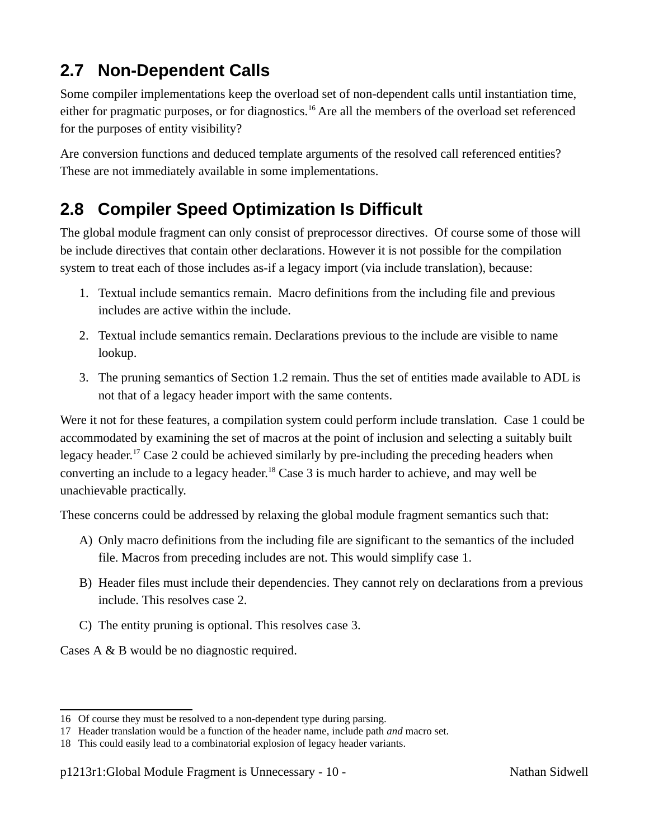### **2.7 Non-Dependent Calls**

Some compiler implementations keep the overload set of non-dependent calls until instantiation time, either for pragmatic purposes, or for diagnostics.<sup>[16](#page-9-5)</sup> Are all the members of the overload set referenced for the purposes of entity visibility?

Are conversion functions and deduced template arguments of the resolved call referenced entities? These are not immediately available in some implementations.

#### <span id="page-9-8"></span>**2.8 Compiler Speed Optimization Is Difficult**

The global module fragment can only consist of preprocessor directives. Of course some of those will be include directives that contain other declarations. However it is not possible for the compilation system to treat each of those includes as-if a legacy import (via include translation), because:

- <span id="page-9-4"></span>1. Textual include semantics remain. Macro definitions from the including file and previous includes are active within the include.
- <span id="page-9-3"></span>2. Textual include semantics remain. Declarations previous to the include are visible to name lookup.
- <span id="page-9-2"></span>3. The pruning semantics of Section [1.2](#page-3-1) remain. Thus the set of entities made available to ADL is not that of a legacy header import with the same contents.

Were it not for these features, a compilation system could perform include translation. Case [1](#page-9-4) could be accommodated by examining the set of macros at the point of inclusion and selecting a suitably built legacy header.<sup>[17](#page-9-6)</sup> Case [2](#page-9-3) could be achieved similarly by pre-including the preceding headers when converting an include to a legacy header.<sup>[18](#page-9-7)</sup> Case [3](#page-9-2) is much harder to achieve, and may well be unachievable practically.

These concerns could be addressed by relaxing the global module fragment semantics such that:

- <span id="page-9-1"></span>A) Only macro definitions from the including file are significant to the semantics of the included file. Macros from preceding includes are not. This would simplify case [1](#page-9-4).
- <span id="page-9-0"></span>B) Header files must include their dependencies. They cannot rely on declarations from a previous include. This resolves case [2](#page-9-3).
- C) The entity pruning is optional. This resolves case [3](#page-9-2).

Cases [A](#page-9-1) & [B](#page-9-0) would be no diagnostic required.

<span id="page-9-5"></span><sup>16</sup> Of course they must be resolved to a non-dependent type during parsing.

<span id="page-9-6"></span><sup>17</sup> Header translation would be a function of the header name, include path *and* macro set.

<span id="page-9-7"></span><sup>18</sup> This could easily lead to a combinatorial explosion of legacy header variants.